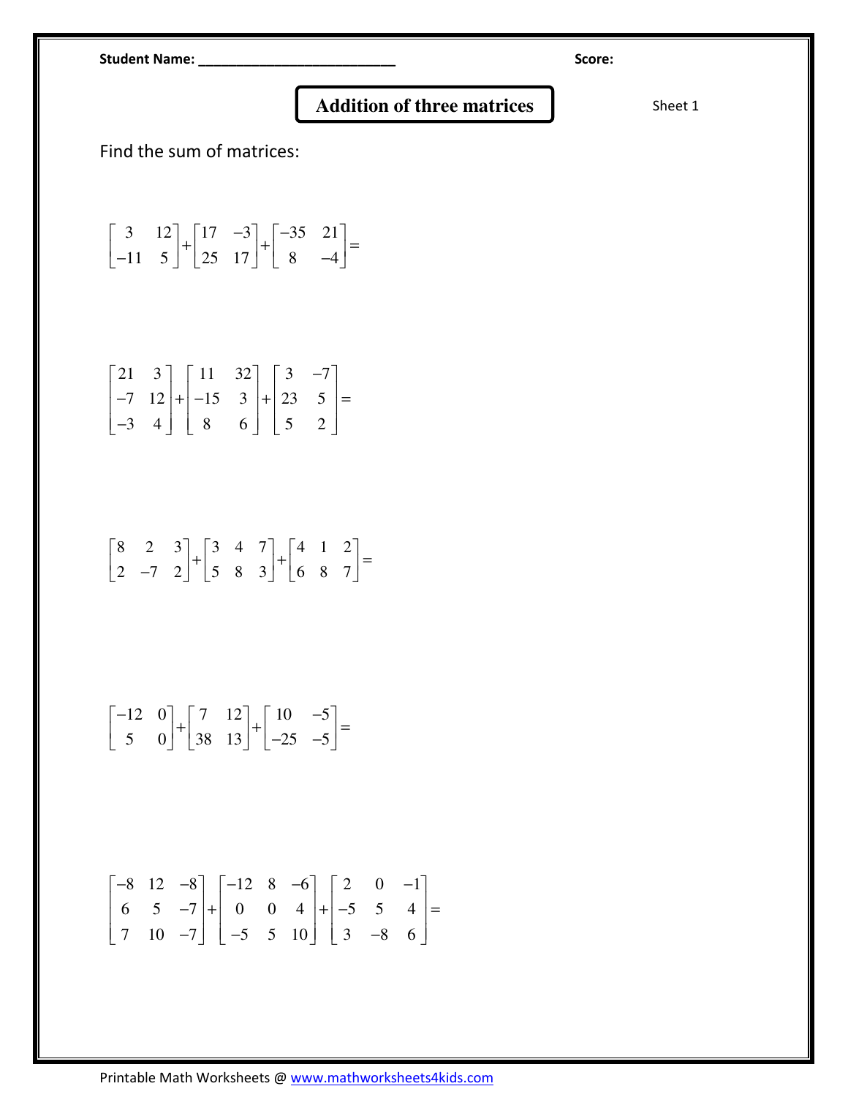Student Name: \_\_\_\_\_\_\_\_\_\_\_\_\_\_\_\_\_\_\_\_\_\_\_\_\_\_ Score:

## **Addition of three matrices** Sheet 1

Find the sum of matrices:

$$
\begin{bmatrix} 3 & 12 \\ -11 & 5 \end{bmatrix} + \begin{bmatrix} 17 & -3 \\ 25 & 17 \end{bmatrix} + \begin{bmatrix} -35 & 21 \\ 8 & -4 \end{bmatrix} =
$$

$$
\begin{bmatrix} 21 & 3 \ -7 & 12 \ -3 & 4 \end{bmatrix} + \begin{bmatrix} 11 & 32 \ -15 & 3 \ 8 & 6 \end{bmatrix} + \begin{bmatrix} 3 & -7 \ 23 & 5 \ 5 & 2 \end{bmatrix} =
$$

$$
\begin{bmatrix} 8 & 2 & 3 \ 2 & -7 & 2 \end{bmatrix} + \begin{bmatrix} 3 & 4 & 7 \ 5 & 8 & 3 \end{bmatrix} + \begin{bmatrix} 4 & 1 & 2 \ 6 & 8 & 7 \end{bmatrix} =
$$

$$
\begin{bmatrix} -12 & 0 \ 5 & 0 \end{bmatrix} + \begin{bmatrix} 7 & 12 \ 38 & 13 \end{bmatrix} + \begin{bmatrix} 10 & -5 \ -25 & -5 \end{bmatrix} =
$$

$$
\begin{bmatrix} -8 & 12 & -8 \ 6 & 5 & -7 \ 7 & 10 & -7 \end{bmatrix} + \begin{bmatrix} -12 & 8 & -6 \ 0 & 0 & 4 \ -5 & 5 & 10 \end{bmatrix} + \begin{bmatrix} 2 & 0 & -1 \ -5 & 5 & 4 \ 3 & -8 & 6 \end{bmatrix} =
$$